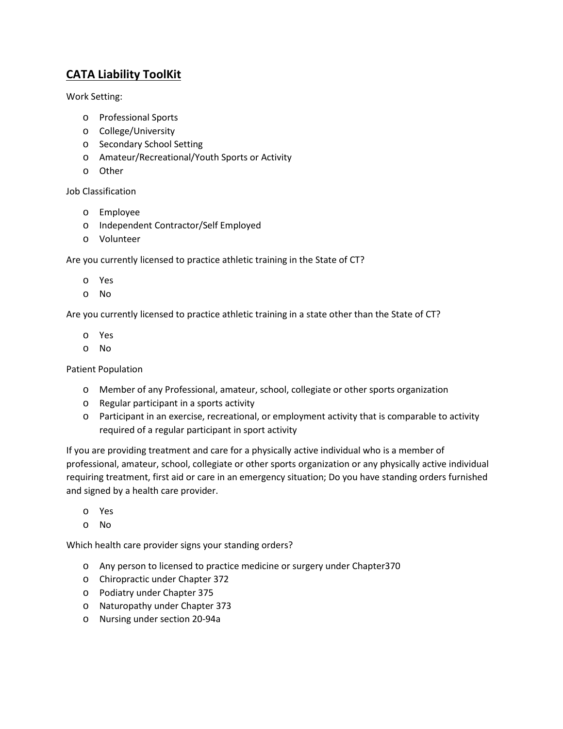## **CATA Liability ToolKit**

Work Setting:

- o Professional Sports
- o College/University
- o Secondary School Setting
- o Amateur/Recreational/Youth Sports or Activity
- o Other

## Job Classification

- o Employee
- o Independent Contractor/Self Employed
- o Volunteer

Are you currently licensed to practice athletic training in the State of CT?

- o Yes
- o No

Are you currently licensed to practice athletic training in a state other than the State of CT?

- o Yes
- o No

Patient Population

- o Member of any Professional, amateur, school, collegiate or other sports organization
- o Regular participant in a sports activity
- o Participant in an exercise, recreational, or employment activity that is comparable to activity required of a regular participant in sport activity

If you are providing treatment and care for a physically active individual who is a member of professional, amateur, school, collegiate or other sports organization or any physically active individual requiring treatment, first aid or care in an emergency situation; Do you have standing orders furnished and signed by a health care provider.

- o Yes
- o No

Which health care provider signs your standing orders?

- o Any person to licensed to practice medicine or surgery under Chapter370
- o Chiropractic under Chapter 372
- o Podiatry under Chapter 375
- o Naturopathy under Chapter 373
- o Nursing under section 20-94a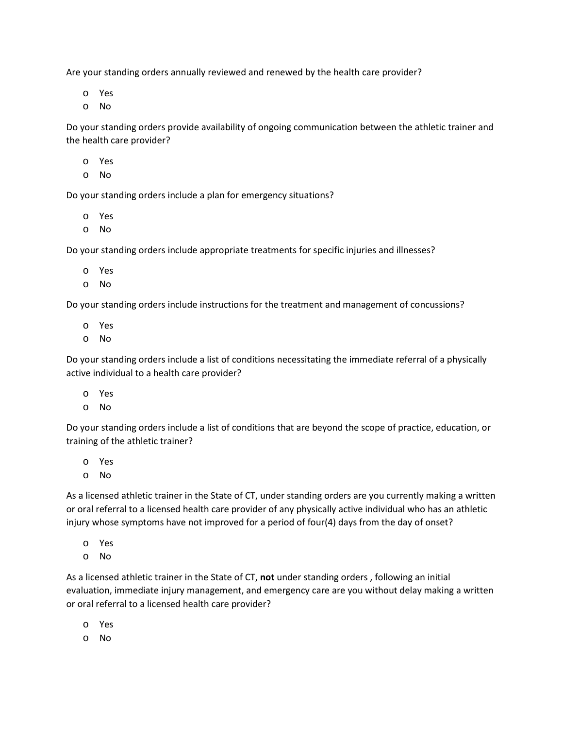Are your standing orders annually reviewed and renewed by the health care provider?

o Yes

o No

Do your standing orders provide availability of ongoing communication between the athletic trainer and the health care provider?

- o Yes
- o No

Do your standing orders include a plan for emergency situations?

- o Yes
- o No

Do your standing orders include appropriate treatments for specific injuries and illnesses?

- o Yes
- o No

Do your standing orders include instructions for the treatment and management of concussions?

- o Yes
- o No

Do your standing orders include a list of conditions necessitating the immediate referral of a physically active individual to a health care provider?

- o Yes
- o No

Do your standing orders include a list of conditions that are beyond the scope of practice, education, or training of the athletic trainer?

- o Yes
- o No

As a licensed athletic trainer in the State of CT, under standing orders are you currently making a written or oral referral to a licensed health care provider of any physically active individual who has an athletic injury whose symptoms have not improved for a period of four(4) days from the day of onset?

- o Yes
- o No

As a licensed athletic trainer in the State of CT, **not** under standing orders , following an initial evaluation, immediate injury management, and emergency care are you without delay making a written or oral referral to a licensed health care provider?

- o Yes
- o No